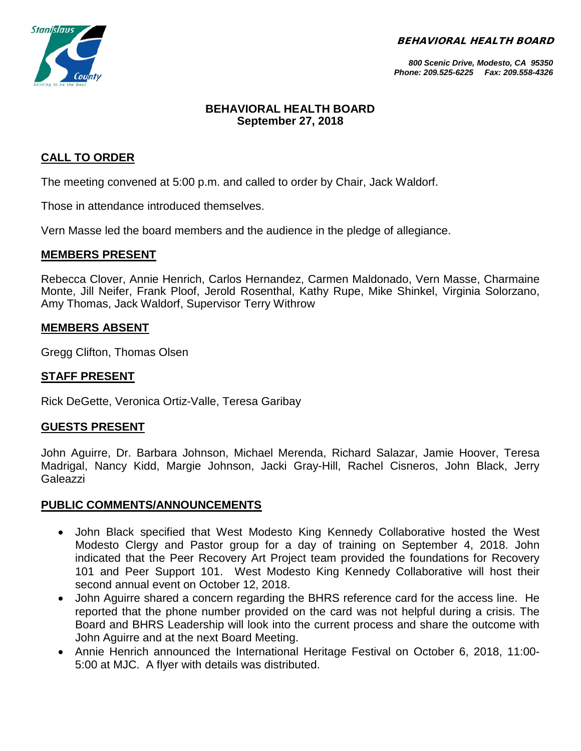BEHAVIORAL HEALTH BOARD



*800 Scenic Drive, Modesto, CA 95350 Phone: 209.525-6225 Fax: 209.558-4326*

# **BEHAVIORAL HEALTH BOARD September 27, 2018**

# **CALL TO ORDER**

The meeting convened at 5:00 p.m. and called to order by Chair, Jack Waldorf.

Those in attendance introduced themselves.

Vern Masse led the board members and the audience in the pledge of allegiance.

#### **MEMBERS PRESENT**

Rebecca Clover, Annie Henrich, Carlos Hernandez, Carmen Maldonado, Vern Masse, Charmaine Monte, Jill Neifer, Frank Ploof, Jerold Rosenthal, Kathy Rupe, Mike Shinkel, Virginia Solorzano, Amy Thomas, Jack Waldorf, Supervisor Terry Withrow

## **MEMBERS ABSENT**

Gregg Clifton, Thomas Olsen

## **STAFF PRESENT**

Rick DeGette, Veronica Ortiz-Valle, Teresa Garibay

## **GUESTS PRESENT**

John Aguirre, Dr. Barbara Johnson, Michael Merenda, Richard Salazar, Jamie Hoover, Teresa Madrigal, Nancy Kidd, Margie Johnson, Jacki Gray-Hill, Rachel Cisneros, John Black, Jerry Galeazzi

## **PUBLIC COMMENTS/ANNOUNCEMENTS**

- John Black specified that West Modesto King Kennedy Collaborative hosted the West Modesto Clergy and Pastor group for a day of training on September 4, 2018. John indicated that the Peer Recovery Art Project team provided the foundations for Recovery 101 and Peer Support 101. West Modesto King Kennedy Collaborative will host their second annual event on October 12, 2018.
- John Aguirre shared a concern regarding the BHRS reference card for the access line. He reported that the phone number provided on the card was not helpful during a crisis. The Board and BHRS Leadership will look into the current process and share the outcome with John Aguirre and at the next Board Meeting.
- Annie Henrich announced the International Heritage Festival on October 6, 2018, 11:00- 5:00 at MJC. A flyer with details was distributed.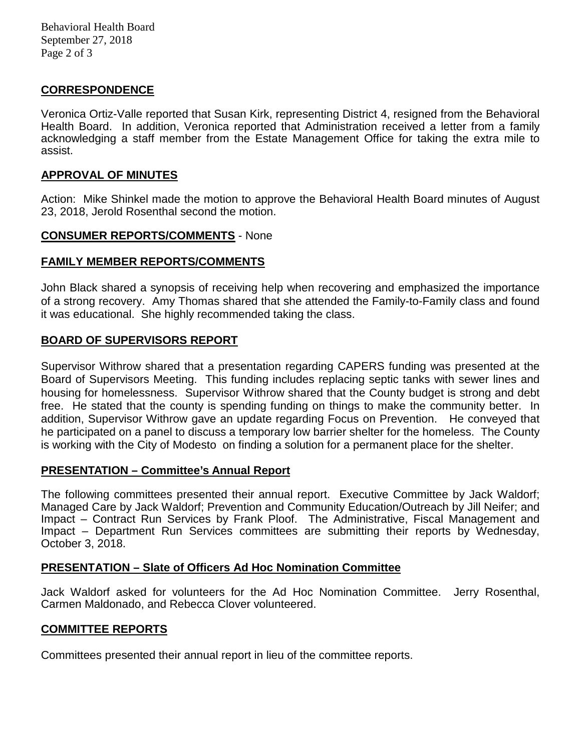Behavioral Health Board September 27, 2018 Page 2 of 3

## **CORRESPONDENCE**

Veronica Ortiz-Valle reported that Susan Kirk, representing District 4, resigned from the Behavioral Health Board. In addition, Veronica reported that Administration received a letter from a family acknowledging a staff member from the Estate Management Office for taking the extra mile to assist.

#### **APPROVAL OF MINUTES**

Action: Mike Shinkel made the motion to approve the Behavioral Health Board minutes of August 23, 2018, Jerold Rosenthal second the motion.

#### **CONSUMER REPORTS/COMMENTS** - None

## **FAMILY MEMBER REPORTS/COMMENTS**

John Black shared a synopsis of receiving help when recovering and emphasized the importance of a strong recovery. Amy Thomas shared that she attended the Family-to-Family class and found it was educational. She highly recommended taking the class.

## **BOARD OF SUPERVISORS REPORT**

Supervisor Withrow shared that a presentation regarding CAPERS funding was presented at the Board of Supervisors Meeting. This funding includes replacing septic tanks with sewer lines and housing for homelessness. Supervisor Withrow shared that the County budget is strong and debt free. He stated that the county is spending funding on things to make the community better. In addition, Supervisor Withrow gave an update regarding Focus on Prevention. He conveyed that he participated on a panel to discuss a temporary low barrier shelter for the homeless. The County is working with the City of Modesto on finding a solution for a permanent place for the shelter.

#### **PRESENTATION – Committee's Annual Report**

The following committees presented their annual report. Executive Committee by Jack Waldorf; Managed Care by Jack Waldorf; Prevention and Community Education/Outreach by Jill Neifer; and Impact – Contract Run Services by Frank Ploof. The Administrative, Fiscal Management and Impact – Department Run Services committees are submitting their reports by Wednesday, October 3, 2018.

#### **PRESENTATION – Slate of Officers Ad Hoc Nomination Committee**

Jack Waldorf asked for volunteers for the Ad Hoc Nomination Committee. Jerry Rosenthal, Carmen Maldonado, and Rebecca Clover volunteered.

## **COMMITTEE REPORTS**

Committees presented their annual report in lieu of the committee reports.